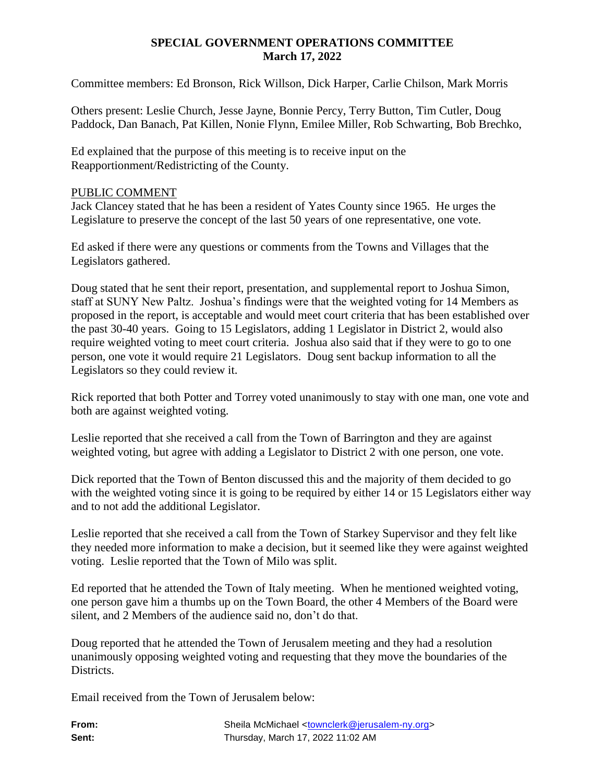# **SPECIAL GOVERNMENT OPERATIONS COMMITTEE March 17, 2022**

Committee members: Ed Bronson, Rick Willson, Dick Harper, Carlie Chilson, Mark Morris

Others present: Leslie Church, Jesse Jayne, Bonnie Percy, Terry Button, Tim Cutler, Doug Paddock, Dan Banach, Pat Killen, Nonie Flynn, Emilee Miller, Rob Schwarting, Bob Brechko,

Ed explained that the purpose of this meeting is to receive input on the Reapportionment/Redistricting of the County.

## PUBLIC COMMENT

Jack Clancey stated that he has been a resident of Yates County since 1965. He urges the Legislature to preserve the concept of the last 50 years of one representative, one vote.

Ed asked if there were any questions or comments from the Towns and Villages that the Legislators gathered.

Doug stated that he sent their report, presentation, and supplemental report to Joshua Simon, staff at SUNY New Paltz. Joshua's findings were that the weighted voting for 14 Members as proposed in the report, is acceptable and would meet court criteria that has been established over the past 30-40 years. Going to 15 Legislators, adding 1 Legislator in District 2, would also require weighted voting to meet court criteria. Joshua also said that if they were to go to one person, one vote it would require 21 Legislators. Doug sent backup information to all the Legislators so they could review it.

Rick reported that both Potter and Torrey voted unanimously to stay with one man, one vote and both are against weighted voting.

Leslie reported that she received a call from the Town of Barrington and they are against weighted voting, but agree with adding a Legislator to District 2 with one person, one vote.

Dick reported that the Town of Benton discussed this and the majority of them decided to go with the weighted voting since it is going to be required by either 14 or 15 Legislators either way and to not add the additional Legislator.

Leslie reported that she received a call from the Town of Starkey Supervisor and they felt like they needed more information to make a decision, but it seemed like they were against weighted voting. Leslie reported that the Town of Milo was split.

Ed reported that he attended the Town of Italy meeting. When he mentioned weighted voting, one person gave him a thumbs up on the Town Board, the other 4 Members of the Board were silent, and 2 Members of the audience said no, don't do that.

Doug reported that he attended the Town of Jerusalem meeting and they had a resolution unanimously opposing weighted voting and requesting that they move the boundaries of the Districts.

Email received from the Town of Jerusalem below: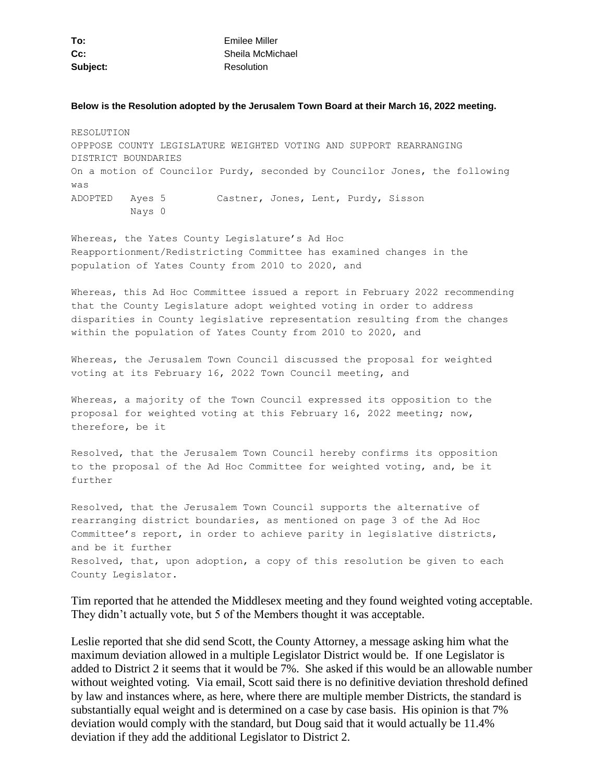| To:      | Emilee Miller    |
|----------|------------------|
| $Cc$ :   | Sheila McMichael |
| Subject: | Resolution       |

#### **Below is the Resolution adopted by the Jerusalem Town Board at their March 16, 2022 meeting.**

RESOLUTION OPPPOSE COUNTY LEGISLATURE WEIGHTED VOTING AND SUPPORT REARRANGING DISTRICT BOUNDARIES On a motion of Councilor Purdy, seconded by Councilor Jones, the following was ADOPTED Ayes 5 Castner, Jones, Lent, Purdy, Sisson Nays 0

Whereas, the Yates County Legislature's Ad Hoc Reapportionment/Redistricting Committee has examined changes in the population of Yates County from 2010 to 2020, and

Whereas, this Ad Hoc Committee issued a report in February 2022 recommending that the County Legislature adopt weighted voting in order to address disparities in County legislative representation resulting from the changes within the population of Yates County from 2010 to 2020, and

Whereas, the Jerusalem Town Council discussed the proposal for weighted voting at its February 16, 2022 Town Council meeting, and

Whereas, a majority of the Town Council expressed its opposition to the proposal for weighted voting at this February 16, 2022 meeting; now, therefore, be it

Resolved, that the Jerusalem Town Council hereby confirms its opposition to the proposal of the Ad Hoc Committee for weighted voting, and, be it further

Resolved, that the Jerusalem Town Council supports the alternative of rearranging district boundaries, as mentioned on page 3 of the Ad Hoc Committee's report, in order to achieve parity in legislative districts, and be it further Resolved, that, upon adoption, a copy of this resolution be given to each County Legislator.

Tim reported that he attended the Middlesex meeting and they found weighted voting acceptable. They didn't actually vote, but 5 of the Members thought it was acceptable.

Leslie reported that she did send Scott, the County Attorney, a message asking him what the maximum deviation allowed in a multiple Legislator District would be. If one Legislator is added to District 2 it seems that it would be 7%. She asked if this would be an allowable number without weighted voting. Via email, Scott said there is no definitive deviation threshold defined by law and instances where, as here, where there are multiple member Districts, the standard is substantially equal weight and is determined on a case by case basis. His opinion is that 7% deviation would comply with the standard, but Doug said that it would actually be 11.4% deviation if they add the additional Legislator to District 2.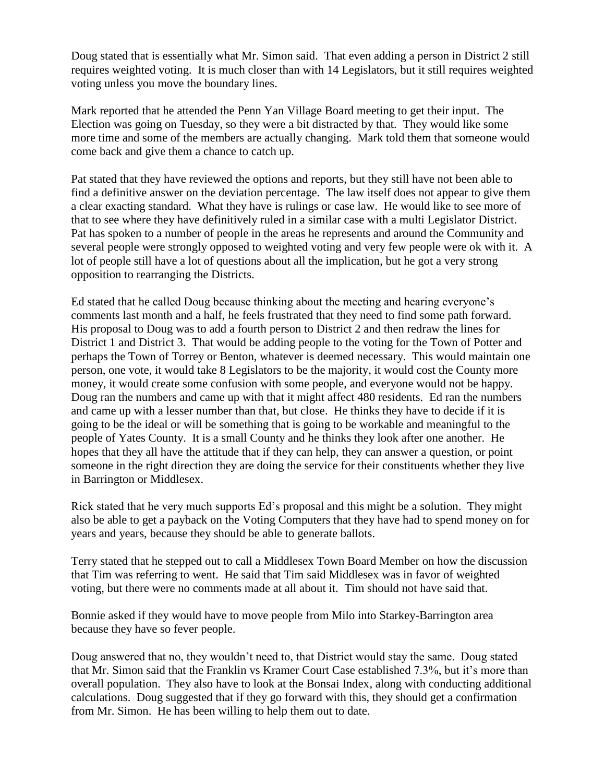Doug stated that is essentially what Mr. Simon said. That even adding a person in District 2 still requires weighted voting. It is much closer than with 14 Legislators, but it still requires weighted voting unless you move the boundary lines.

Mark reported that he attended the Penn Yan Village Board meeting to get their input. The Election was going on Tuesday, so they were a bit distracted by that. They would like some more time and some of the members are actually changing. Mark told them that someone would come back and give them a chance to catch up.

Pat stated that they have reviewed the options and reports, but they still have not been able to find a definitive answer on the deviation percentage. The law itself does not appear to give them a clear exacting standard. What they have is rulings or case law. He would like to see more of that to see where they have definitively ruled in a similar case with a multi Legislator District. Pat has spoken to a number of people in the areas he represents and around the Community and several people were strongly opposed to weighted voting and very few people were ok with it. A lot of people still have a lot of questions about all the implication, but he got a very strong opposition to rearranging the Districts.

Ed stated that he called Doug because thinking about the meeting and hearing everyone's comments last month and a half, he feels frustrated that they need to find some path forward. His proposal to Doug was to add a fourth person to District 2 and then redraw the lines for District 1 and District 3. That would be adding people to the voting for the Town of Potter and perhaps the Town of Torrey or Benton, whatever is deemed necessary. This would maintain one person, one vote, it would take 8 Legislators to be the majority, it would cost the County more money, it would create some confusion with some people, and everyone would not be happy. Doug ran the numbers and came up with that it might affect 480 residents. Ed ran the numbers and came up with a lesser number than that, but close. He thinks they have to decide if it is going to be the ideal or will be something that is going to be workable and meaningful to the people of Yates County. It is a small County and he thinks they look after one another. He hopes that they all have the attitude that if they can help, they can answer a question, or point someone in the right direction they are doing the service for their constituents whether they live in Barrington or Middlesex.

Rick stated that he very much supports Ed's proposal and this might be a solution. They might also be able to get a payback on the Voting Computers that they have had to spend money on for years and years, because they should be able to generate ballots.

Terry stated that he stepped out to call a Middlesex Town Board Member on how the discussion that Tim was referring to went. He said that Tim said Middlesex was in favor of weighted voting, but there were no comments made at all about it. Tim should not have said that.

Bonnie asked if they would have to move people from Milo into Starkey-Barrington area because they have so fever people.

Doug answered that no, they wouldn't need to, that District would stay the same. Doug stated that Mr. Simon said that the Franklin vs Kramer Court Case established 7.3%, but it's more than overall population. They also have to look at the Bonsai Index, along with conducting additional calculations. Doug suggested that if they go forward with this, they should get a confirmation from Mr. Simon. He has been willing to help them out to date.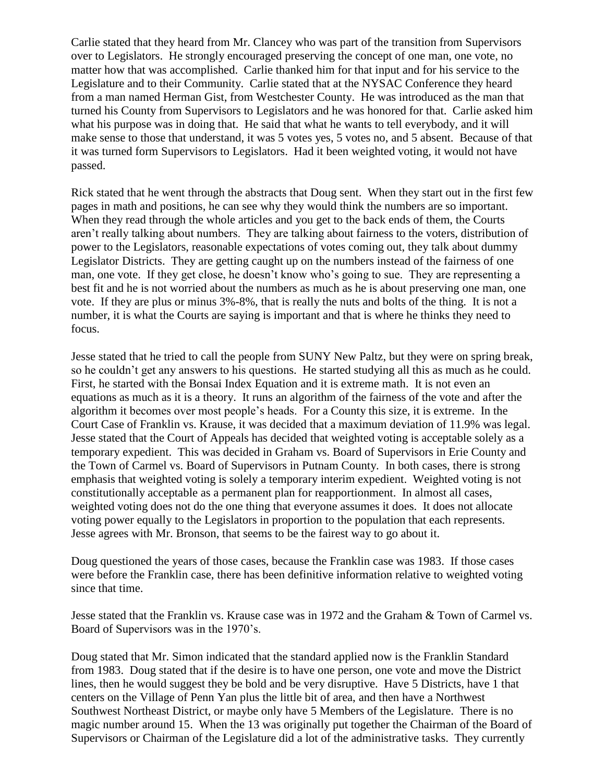Carlie stated that they heard from Mr. Clancey who was part of the transition from Supervisors over to Legislators. He strongly encouraged preserving the concept of one man, one vote, no matter how that was accomplished. Carlie thanked him for that input and for his service to the Legislature and to their Community. Carlie stated that at the NYSAC Conference they heard from a man named Herman Gist, from Westchester County. He was introduced as the man that turned his County from Supervisors to Legislators and he was honored for that. Carlie asked him what his purpose was in doing that. He said that what he wants to tell everybody, and it will make sense to those that understand, it was 5 votes yes, 5 votes no, and 5 absent. Because of that it was turned form Supervisors to Legislators. Had it been weighted voting, it would not have passed.

Rick stated that he went through the abstracts that Doug sent. When they start out in the first few pages in math and positions, he can see why they would think the numbers are so important. When they read through the whole articles and you get to the back ends of them, the Courts aren't really talking about numbers. They are talking about fairness to the voters, distribution of power to the Legislators, reasonable expectations of votes coming out, they talk about dummy Legislator Districts. They are getting caught up on the numbers instead of the fairness of one man, one vote. If they get close, he doesn't know who's going to sue. They are representing a best fit and he is not worried about the numbers as much as he is about preserving one man, one vote. If they are plus or minus 3%-8%, that is really the nuts and bolts of the thing. It is not a number, it is what the Courts are saying is important and that is where he thinks they need to focus.

Jesse stated that he tried to call the people from SUNY New Paltz, but they were on spring break, so he couldn't get any answers to his questions. He started studying all this as much as he could. First, he started with the Bonsai Index Equation and it is extreme math. It is not even an equations as much as it is a theory. It runs an algorithm of the fairness of the vote and after the algorithm it becomes over most people's heads. For a County this size, it is extreme. In the Court Case of Franklin vs. Krause, it was decided that a maximum deviation of 11.9% was legal. Jesse stated that the Court of Appeals has decided that weighted voting is acceptable solely as a temporary expedient. This was decided in Graham vs. Board of Supervisors in Erie County and the Town of Carmel vs. Board of Supervisors in Putnam County. In both cases, there is strong emphasis that weighted voting is solely a temporary interim expedient. Weighted voting is not constitutionally acceptable as a permanent plan for reapportionment. In almost all cases, weighted voting does not do the one thing that everyone assumes it does. It does not allocate voting power equally to the Legislators in proportion to the population that each represents. Jesse agrees with Mr. Bronson, that seems to be the fairest way to go about it.

Doug questioned the years of those cases, because the Franklin case was 1983. If those cases were before the Franklin case, there has been definitive information relative to weighted voting since that time.

Jesse stated that the Franklin vs. Krause case was in 1972 and the Graham & Town of Carmel vs. Board of Supervisors was in the 1970's.

Doug stated that Mr. Simon indicated that the standard applied now is the Franklin Standard from 1983. Doug stated that if the desire is to have one person, one vote and move the District lines, then he would suggest they be bold and be very disruptive. Have 5 Districts, have 1 that centers on the Village of Penn Yan plus the little bit of area, and then have a Northwest Southwest Northeast District, or maybe only have 5 Members of the Legislature. There is no magic number around 15. When the 13 was originally put together the Chairman of the Board of Supervisors or Chairman of the Legislature did a lot of the administrative tasks. They currently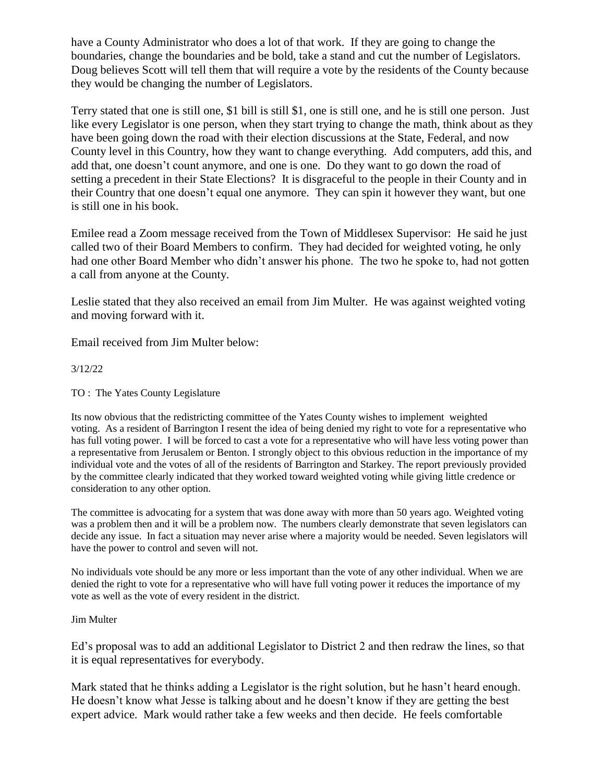have a County Administrator who does a lot of that work. If they are going to change the boundaries, change the boundaries and be bold, take a stand and cut the number of Legislators. Doug believes Scott will tell them that will require a vote by the residents of the County because they would be changing the number of Legislators.

Terry stated that one is still one, \$1 bill is still \$1, one is still one, and he is still one person. Just like every Legislator is one person, when they start trying to change the math, think about as they have been going down the road with their election discussions at the State, Federal, and now County level in this Country, how they want to change everything. Add computers, add this, and add that, one doesn't count anymore, and one is one. Do they want to go down the road of setting a precedent in their State Elections? It is disgraceful to the people in their County and in their Country that one doesn't equal one anymore. They can spin it however they want, but one is still one in his book.

Emilee read a Zoom message received from the Town of Middlesex Supervisor: He said he just called two of their Board Members to confirm. They had decided for weighted voting, he only had one other Board Member who didn't answer his phone. The two he spoke to, had not gotten a call from anyone at the County.

Leslie stated that they also received an email from Jim Multer. He was against weighted voting and moving forward with it.

Email received from Jim Multer below:

### 3/12/22

TO : The Yates County Legislature

Its now obvious that the redistricting committee of the Yates County wishes to implement weighted voting. As a resident of Barrington I resent the idea of being denied my right to vote for a representative who has full voting power. I will be forced to cast a vote for a representative who will have less voting power than a representative from Jerusalem or Benton. I strongly object to this obvious reduction in the importance of my individual vote and the votes of all of the residents of Barrington and Starkey. The report previously provided by the committee clearly indicated that they worked toward weighted voting while giving little credence or consideration to any other option.

The committee is advocating for a system that was done away with more than 50 years ago. Weighted voting was a problem then and it will be a problem now. The numbers clearly demonstrate that seven legislators can decide any issue. In fact a situation may never arise where a majority would be needed. Seven legislators will have the power to control and seven will not.

No individuals vote should be any more or less important than the vote of any other individual. When we are denied the right to vote for a representative who will have full voting power it reduces the importance of my vote as well as the vote of every resident in the district.

#### Jim Multer

Ed's proposal was to add an additional Legislator to District 2 and then redraw the lines, so that it is equal representatives for everybody.

Mark stated that he thinks adding a Legislator is the right solution, but he hasn't heard enough. He doesn't know what Jesse is talking about and he doesn't know if they are getting the best expert advice. Mark would rather take a few weeks and then decide. He feels comfortable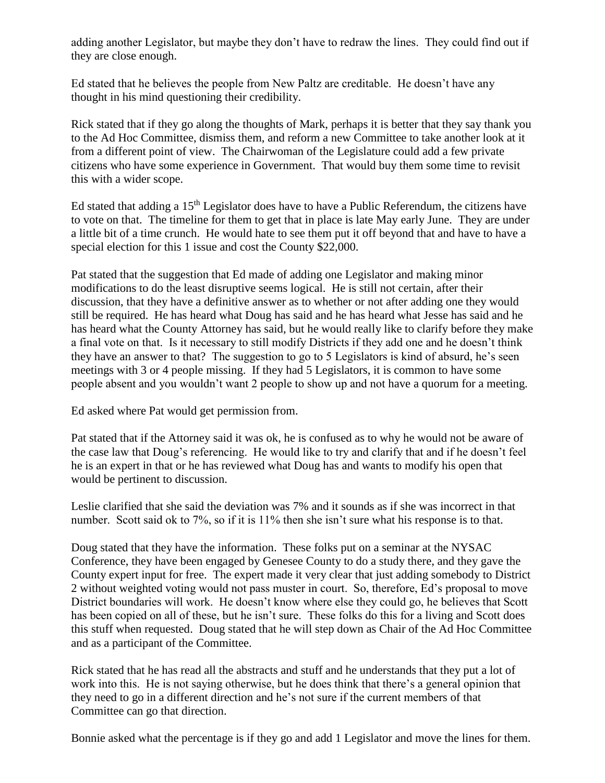adding another Legislator, but maybe they don't have to redraw the lines. They could find out if they are close enough.

Ed stated that he believes the people from New Paltz are creditable. He doesn't have any thought in his mind questioning their credibility.

Rick stated that if they go along the thoughts of Mark, perhaps it is better that they say thank you to the Ad Hoc Committee, dismiss them, and reform a new Committee to take another look at it from a different point of view. The Chairwoman of the Legislature could add a few private citizens who have some experience in Government. That would buy them some time to revisit this with a wider scope.

Ed stated that adding a  $15<sup>th</sup>$  Legislator does have to have a Public Referendum, the citizens have to vote on that. The timeline for them to get that in place is late May early June. They are under a little bit of a time crunch. He would hate to see them put it off beyond that and have to have a special election for this 1 issue and cost the County \$22,000.

Pat stated that the suggestion that Ed made of adding one Legislator and making minor modifications to do the least disruptive seems logical. He is still not certain, after their discussion, that they have a definitive answer as to whether or not after adding one they would still be required. He has heard what Doug has said and he has heard what Jesse has said and he has heard what the County Attorney has said, but he would really like to clarify before they make a final vote on that. Is it necessary to still modify Districts if they add one and he doesn't think they have an answer to that? The suggestion to go to 5 Legislators is kind of absurd, he's seen meetings with 3 or 4 people missing. If they had 5 Legislators, it is common to have some people absent and you wouldn't want 2 people to show up and not have a quorum for a meeting.

Ed asked where Pat would get permission from.

Pat stated that if the Attorney said it was ok, he is confused as to why he would not be aware of the case law that Doug's referencing. He would like to try and clarify that and if he doesn't feel he is an expert in that or he has reviewed what Doug has and wants to modify his open that would be pertinent to discussion.

Leslie clarified that she said the deviation was 7% and it sounds as if she was incorrect in that number. Scott said ok to 7%, so if it is 11% then she isn't sure what his response is to that.

Doug stated that they have the information. These folks put on a seminar at the NYSAC Conference, they have been engaged by Genesee County to do a study there, and they gave the County expert input for free. The expert made it very clear that just adding somebody to District 2 without weighted voting would not pass muster in court. So, therefore, Ed's proposal to move District boundaries will work. He doesn't know where else they could go, he believes that Scott has been copied on all of these, but he isn't sure. These folks do this for a living and Scott does this stuff when requested. Doug stated that he will step down as Chair of the Ad Hoc Committee and as a participant of the Committee.

Rick stated that he has read all the abstracts and stuff and he understands that they put a lot of work into this. He is not saying otherwise, but he does think that there's a general opinion that they need to go in a different direction and he's not sure if the current members of that Committee can go that direction.

Bonnie asked what the percentage is if they go and add 1 Legislator and move the lines for them.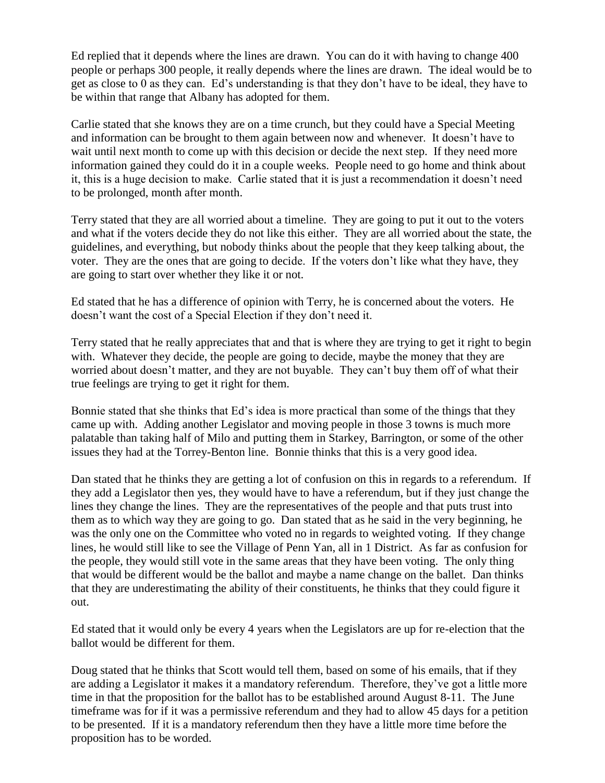Ed replied that it depends where the lines are drawn. You can do it with having to change 400 people or perhaps 300 people, it really depends where the lines are drawn. The ideal would be to get as close to 0 as they can. Ed's understanding is that they don't have to be ideal, they have to be within that range that Albany has adopted for them.

Carlie stated that she knows they are on a time crunch, but they could have a Special Meeting and information can be brought to them again between now and whenever. It doesn't have to wait until next month to come up with this decision or decide the next step. If they need more information gained they could do it in a couple weeks. People need to go home and think about it, this is a huge decision to make. Carlie stated that it is just a recommendation it doesn't need to be prolonged, month after month.

Terry stated that they are all worried about a timeline. They are going to put it out to the voters and what if the voters decide they do not like this either. They are all worried about the state, the guidelines, and everything, but nobody thinks about the people that they keep talking about, the voter. They are the ones that are going to decide. If the voters don't like what they have, they are going to start over whether they like it or not.

Ed stated that he has a difference of opinion with Terry, he is concerned about the voters. He doesn't want the cost of a Special Election if they don't need it.

Terry stated that he really appreciates that and that is where they are trying to get it right to begin with. Whatever they decide, the people are going to decide, maybe the money that they are worried about doesn't matter, and they are not buyable. They can't buy them off of what their true feelings are trying to get it right for them.

Bonnie stated that she thinks that Ed's idea is more practical than some of the things that they came up with. Adding another Legislator and moving people in those 3 towns is much more palatable than taking half of Milo and putting them in Starkey, Barrington, or some of the other issues they had at the Torrey-Benton line. Bonnie thinks that this is a very good idea.

Dan stated that he thinks they are getting a lot of confusion on this in regards to a referendum. If they add a Legislator then yes, they would have to have a referendum, but if they just change the lines they change the lines. They are the representatives of the people and that puts trust into them as to which way they are going to go. Dan stated that as he said in the very beginning, he was the only one on the Committee who voted no in regards to weighted voting. If they change lines, he would still like to see the Village of Penn Yan, all in 1 District. As far as confusion for the people, they would still vote in the same areas that they have been voting. The only thing that would be different would be the ballot and maybe a name change on the ballet. Dan thinks that they are underestimating the ability of their constituents, he thinks that they could figure it out.

Ed stated that it would only be every 4 years when the Legislators are up for re-election that the ballot would be different for them.

Doug stated that he thinks that Scott would tell them, based on some of his emails, that if they are adding a Legislator it makes it a mandatory referendum. Therefore, they've got a little more time in that the proposition for the ballot has to be established around August 8-11. The June timeframe was for if it was a permissive referendum and they had to allow 45 days for a petition to be presented. If it is a mandatory referendum then they have a little more time before the proposition has to be worded.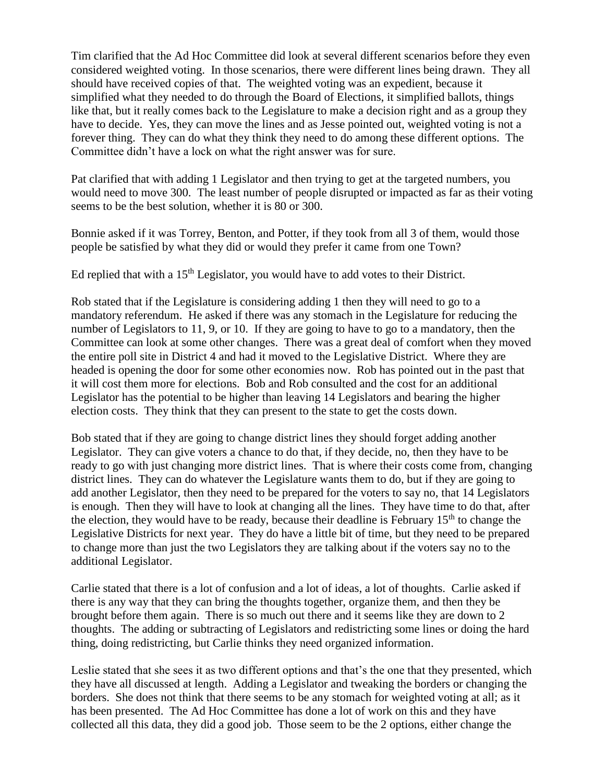Tim clarified that the Ad Hoc Committee did look at several different scenarios before they even considered weighted voting. In those scenarios, there were different lines being drawn. They all should have received copies of that. The weighted voting was an expedient, because it simplified what they needed to do through the Board of Elections, it simplified ballots, things like that, but it really comes back to the Legislature to make a decision right and as a group they have to decide. Yes, they can move the lines and as Jesse pointed out, weighted voting is not a forever thing. They can do what they think they need to do among these different options. The Committee didn't have a lock on what the right answer was for sure.

Pat clarified that with adding 1 Legislator and then trying to get at the targeted numbers, you would need to move 300. The least number of people disrupted or impacted as far as their voting seems to be the best solution, whether it is 80 or 300.

Bonnie asked if it was Torrey, Benton, and Potter, if they took from all 3 of them, would those people be satisfied by what they did or would they prefer it came from one Town?

Ed replied that with a  $15<sup>th</sup>$  Legislator, you would have to add votes to their District.

Rob stated that if the Legislature is considering adding 1 then they will need to go to a mandatory referendum. He asked if there was any stomach in the Legislature for reducing the number of Legislators to 11, 9, or 10. If they are going to have to go to a mandatory, then the Committee can look at some other changes. There was a great deal of comfort when they moved the entire poll site in District 4 and had it moved to the Legislative District. Where they are headed is opening the door for some other economies now. Rob has pointed out in the past that it will cost them more for elections. Bob and Rob consulted and the cost for an additional Legislator has the potential to be higher than leaving 14 Legislators and bearing the higher election costs. They think that they can present to the state to get the costs down.

Bob stated that if they are going to change district lines they should forget adding another Legislator. They can give voters a chance to do that, if they decide, no, then they have to be ready to go with just changing more district lines. That is where their costs come from, changing district lines. They can do whatever the Legislature wants them to do, but if they are going to add another Legislator, then they need to be prepared for the voters to say no, that 14 Legislators is enough. Then they will have to look at changing all the lines. They have time to do that, after the election, they would have to be ready, because their deadline is February  $15<sup>th</sup>$  to change the Legislative Districts for next year. They do have a little bit of time, but they need to be prepared to change more than just the two Legislators they are talking about if the voters say no to the additional Legislator.

Carlie stated that there is a lot of confusion and a lot of ideas, a lot of thoughts. Carlie asked if there is any way that they can bring the thoughts together, organize them, and then they be brought before them again. There is so much out there and it seems like they are down to 2 thoughts. The adding or subtracting of Legislators and redistricting some lines or doing the hard thing, doing redistricting, but Carlie thinks they need organized information.

Leslie stated that she sees it as two different options and that's the one that they presented, which they have all discussed at length. Adding a Legislator and tweaking the borders or changing the borders. She does not think that there seems to be any stomach for weighted voting at all; as it has been presented. The Ad Hoc Committee has done a lot of work on this and they have collected all this data, they did a good job. Those seem to be the 2 options, either change the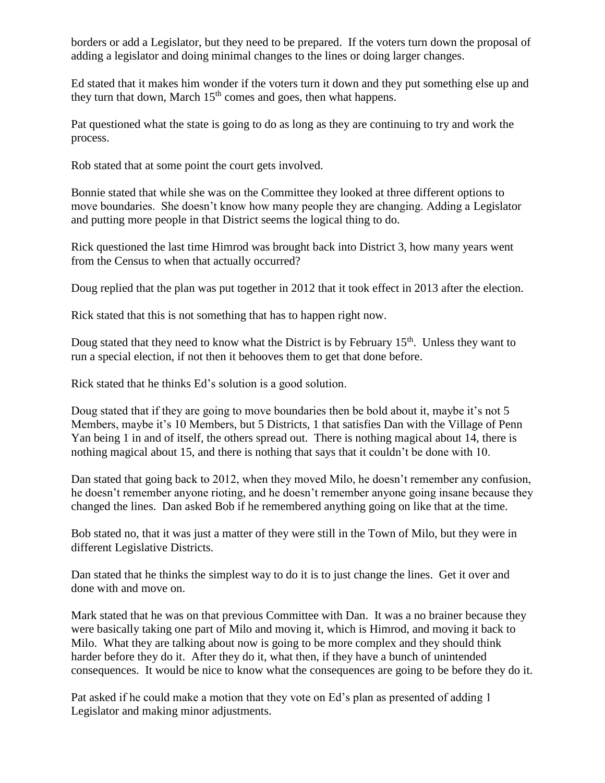borders or add a Legislator, but they need to be prepared. If the voters turn down the proposal of adding a legislator and doing minimal changes to the lines or doing larger changes.

Ed stated that it makes him wonder if the voters turn it down and they put something else up and they turn that down, March 15<sup>th</sup> comes and goes, then what happens.

Pat questioned what the state is going to do as long as they are continuing to try and work the process.

Rob stated that at some point the court gets involved.

Bonnie stated that while she was on the Committee they looked at three different options to move boundaries. She doesn't know how many people they are changing. Adding a Legislator and putting more people in that District seems the logical thing to do.

Rick questioned the last time Himrod was brought back into District 3, how many years went from the Census to when that actually occurred?

Doug replied that the plan was put together in 2012 that it took effect in 2013 after the election.

Rick stated that this is not something that has to happen right now.

Doug stated that they need to know what the District is by February 15<sup>th</sup>. Unless they want to run a special election, if not then it behooves them to get that done before.

Rick stated that he thinks Ed's solution is a good solution.

Doug stated that if they are going to move boundaries then be bold about it, maybe it's not 5 Members, maybe it's 10 Members, but 5 Districts, 1 that satisfies Dan with the Village of Penn Yan being 1 in and of itself, the others spread out. There is nothing magical about 14, there is nothing magical about 15, and there is nothing that says that it couldn't be done with 10.

Dan stated that going back to 2012, when they moved Milo, he doesn't remember any confusion, he doesn't remember anyone rioting, and he doesn't remember anyone going insane because they changed the lines. Dan asked Bob if he remembered anything going on like that at the time.

Bob stated no, that it was just a matter of they were still in the Town of Milo, but they were in different Legislative Districts.

Dan stated that he thinks the simplest way to do it is to just change the lines. Get it over and done with and move on.

Mark stated that he was on that previous Committee with Dan. It was a no brainer because they were basically taking one part of Milo and moving it, which is Himrod, and moving it back to Milo. What they are talking about now is going to be more complex and they should think harder before they do it. After they do it, what then, if they have a bunch of unintended consequences. It would be nice to know what the consequences are going to be before they do it.

Pat asked if he could make a motion that they vote on Ed's plan as presented of adding 1 Legislator and making minor adjustments.